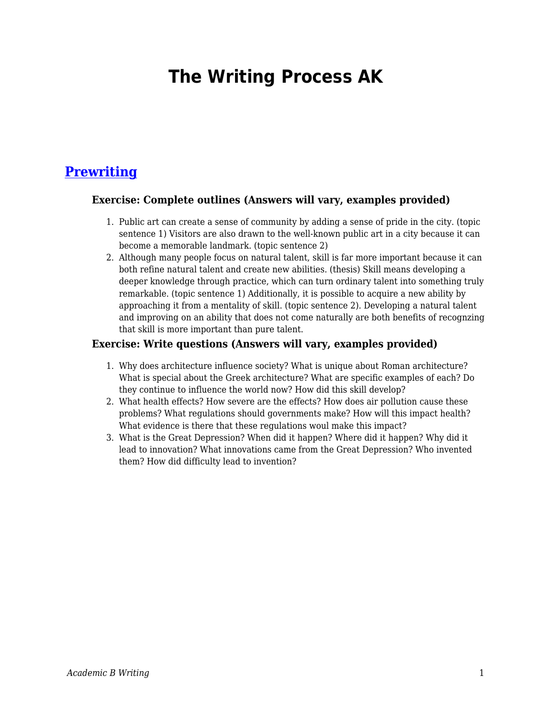## **The Writing Process AK**

## **[Prewriting](https://edtechbooks.org/academic_b_writing_p/prewriting)**

## **Exercise: Complete outlines (Answers will vary, examples provided)**

- 1. Public art can create a sense of community by adding a sense of pride in the city. (topic sentence 1) Visitors are also drawn to the well-known public art in a city because it can become a memorable landmark. (topic sentence 2)
- 2. Although many people focus on natural talent, skill is far more important because it can both refine natural talent and create new abilities. (thesis) Skill means developing a deeper knowledge through practice, which can turn ordinary talent into something truly remarkable. (topic sentence 1) Additionally, it is possible to acquire a new ability by approaching it from a mentality of skill. (topic sentence 2). Developing a natural talent and improving on an ability that does not come naturally are both benefits of recognzing that skill is more important than pure talent.

## **Exercise: Write questions (Answers will vary, examples provided)**

- 1. Why does architecture influence society? What is unique about Roman architecture? What is special about the Greek architecture? What are specific examples of each? Do they continue to influence the world now? How did this skill develop?
- 2. What health effects? How severe are the effects? How does air pollution cause these problems? What regulations should governments make? How will this impact health? What evidence is there that these regulations woul make this impact?
- 3. What is the Great Depression? When did it happen? Where did it happen? Why did it lead to innovation? What innovations came from the Great Depression? Who invented them? How did difficulty lead to invention?